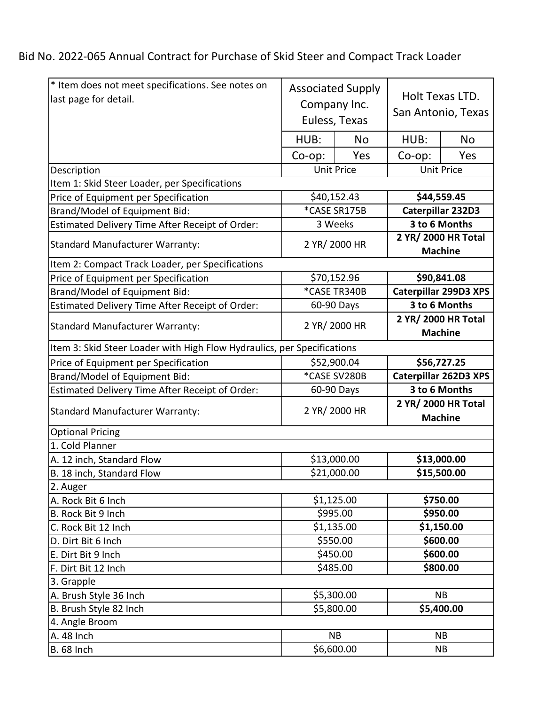Bid No. 2022-065 Annual Contract for Purchase of Skid Steer and Compact Track Loader

| * Item does not meet specifications. See notes on<br>last page for detail. | <b>Associated Supply</b><br>Company Inc.<br>Euless, Texas |            | Holt Texas LTD.<br>San Antonio, Texas |                   |  |  |  |
|----------------------------------------------------------------------------|-----------------------------------------------------------|------------|---------------------------------------|-------------------|--|--|--|
|                                                                            | HUB:                                                      | No         | HUB:                                  | <b>No</b>         |  |  |  |
|                                                                            | $Co$ -op:                                                 | Yes        | Co-op:                                | Yes               |  |  |  |
| Description                                                                |                                                           | Unit Price |                                       | <b>Unit Price</b> |  |  |  |
| Item 1: Skid Steer Loader, per Specifications                              |                                                           |            |                                       |                   |  |  |  |
| Price of Equipment per Specification                                       | \$40,152.43                                               |            | \$44,559.45                           |                   |  |  |  |
| Brand/Model of Equipment Bid:                                              | *CASE SR175B                                              |            | Caterpillar 232D3                     |                   |  |  |  |
| Estimated Delivery Time After Receipt of Order:                            | 3 Weeks                                                   |            | 3 to 6 Months                         |                   |  |  |  |
| <b>Standard Manufacturer Warranty:</b>                                     | 2 YR/ 2000 HR                                             |            | 2 YR/ 2000 HR Total<br><b>Machine</b> |                   |  |  |  |
| Item 2: Compact Track Loader, per Specifications                           |                                                           |            |                                       |                   |  |  |  |
| Price of Equipment per Specification                                       | \$70,152.96                                               |            | \$90,841.08                           |                   |  |  |  |
| Brand/Model of Equipment Bid:                                              | *CASE TR340B                                              |            | Caterpillar 299D3 XPS                 |                   |  |  |  |
| Estimated Delivery Time After Receipt of Order:                            | 60-90 Days                                                |            | 3 to 6 Months                         |                   |  |  |  |
| <b>Standard Manufacturer Warranty:</b>                                     | 2 YR/ 2000 HR                                             |            | 2 YR/ 2000 HR Total<br><b>Machine</b> |                   |  |  |  |
| Item 3: Skid Steer Loader with High Flow Hydraulics, per Specifications    |                                                           |            |                                       |                   |  |  |  |
| Price of Equipment per Specification                                       | \$52,900.04                                               |            | \$56,727.25                           |                   |  |  |  |
| Brand/Model of Equipment Bid:                                              | *CASE SV280B                                              |            | Caterpillar 262D3 XPS                 |                   |  |  |  |
| Estimated Delivery Time After Receipt of Order:                            | 60-90 Days                                                |            | 3 to 6 Months                         |                   |  |  |  |
| <b>Standard Manufacturer Warranty:</b>                                     | 2 YR/ 2000 HR                                             |            | 2 YR/ 2000 HR Total<br><b>Machine</b> |                   |  |  |  |
| <b>Optional Pricing</b>                                                    |                                                           |            |                                       |                   |  |  |  |
| 1. Cold Planner                                                            |                                                           |            |                                       |                   |  |  |  |
| A. 12 inch, Standard Flow                                                  | \$13,000.00                                               |            | \$13,000.00                           |                   |  |  |  |
| B. 18 inch, Standard Flow                                                  | \$21,000.00                                               |            | \$15,500.00                           |                   |  |  |  |
| 2. Auger                                                                   |                                                           |            |                                       |                   |  |  |  |
| A. Rock Bit 6 Inch                                                         | \$1,125.00                                                |            | \$750.00                              |                   |  |  |  |
| B. Rock Bit 9 Inch                                                         | \$995.00                                                  |            | \$950.00                              |                   |  |  |  |
| C. Rock Bit 12 Inch                                                        | \$1,135.00                                                |            | \$1,150.00                            |                   |  |  |  |
| D. Dirt Bit 6 Inch                                                         | \$550.00                                                  |            | \$600.00                              |                   |  |  |  |
| E. Dirt Bit 9 Inch                                                         | \$450.00                                                  |            | \$600.00                              |                   |  |  |  |
| F. Dirt Bit 12 Inch                                                        | \$485.00                                                  |            | \$800.00                              |                   |  |  |  |
| 3. Grapple                                                                 |                                                           |            |                                       |                   |  |  |  |
| A. Brush Style 36 Inch                                                     | \$5,300.00                                                |            | <b>NB</b>                             |                   |  |  |  |
| B. Brush Style 82 Inch                                                     | \$5,800.00                                                |            | \$5,400.00                            |                   |  |  |  |
| 4. Angle Broom                                                             |                                                           |            |                                       |                   |  |  |  |
| A. 48 Inch                                                                 | <b>NB</b>                                                 |            | <b>NB</b>                             |                   |  |  |  |
| <b>B.</b> 68 Inch                                                          | 56,600.00                                                 |            | <b>NB</b>                             |                   |  |  |  |